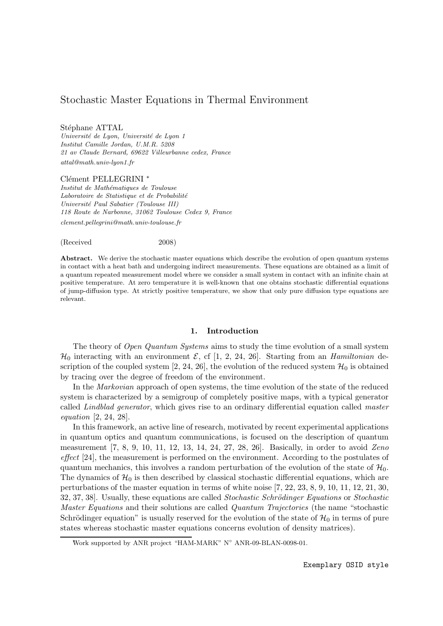# Stochastic Master Equations in Thermal Environment

### Stéphane ATTAL

*Universit´e de Lyon, Universit´e de Lyon 1 Institut Camille Jordan, U.M.R. 5208 21 av Claude Bernard, 69622 Villeurbanne cedex, France attal@math.univ-lyon1.fr*

#### Clément PELLEGRINI \*

*Institut de Math´ematiques de Toulouse* Laboratoire de Statistique et de Probabilité *Universit´e Paul Sabatier (Toulouse III) 118 Route de Narbonne, 31062 Toulouse Cedex 9, France clement.pellegrini@math.univ-toulouse.fr*

(Received 2008)

Abstract. We derive the stochastic master equations which describe the evolution of open quantum systems in contact with a heat bath and undergoing indirect measurements. These equations are obtained as a limit of a quantum repeated measurement model where we consider a small system in contact with an infinite chain at positive temperature. At zero temperature it is well-known that one obtains stochastic differential equations of jump-diffusion type. At strictly positive temperature, we show that only pure diffusion type equations are relevant.

### 1. Introduction

The theory of *Open Quantum Systems* aims to study the time evolution of a small system  $\mathcal{H}_0$  interacting with an environment  $\mathcal{E}$ , cf [1, 2, 24, 26]. Starting from an *Hamiltonian* description of the coupled system [2, 24, 26], the evolution of the reduced system  $\mathcal{H}_0$  is obtained by tracing over the degree of freedom of the environment.

In the Markovian approach of open systems, the time evolution of the state of the reduced system is characterized by a semigroup of completely positive maps, with a typical generator called *Lindblad generator*, which gives rise to an ordinary differential equation called master equation [2, 24, 28].

In this framework, an active line of research, motivated by recent experimental applications in quantum optics and quantum communications, is focused on the description of quantum measurement [7, 8, 9, 10, 11, 12, 13, 14, 24, 27, 28, 26]. Basically, in order to avoid Zeno effect [24], the measurement is performed on the environment. According to the postulates of quantum mechanics, this involves a random perturbation of the evolution of the state of  $\mathcal{H}_0$ . The dynamics of  $\mathcal{H}_0$  is then described by classical stochastic differential equations, which are perturbations of the master equation in terms of white noise [7, 22, 23, 8, 9, 10, 11, 12, 21, 30, 32, 37, 38]. Usually, these equations are called *Stochastic Schrödinger Equations* or *Stochastic* Master Equations and their solutions are called Quantum Trajectories (the name "stochastic Schrödinger equation" is usually reserved for the evolution of the state of  $\mathcal{H}_0$  in terms of pure states whereas stochastic master equations concerns evolution of density matrices).

<sup>∗</sup>Work supported by ANR project "HAM-MARK" N◦ ANR-09-BLAN-0098-01.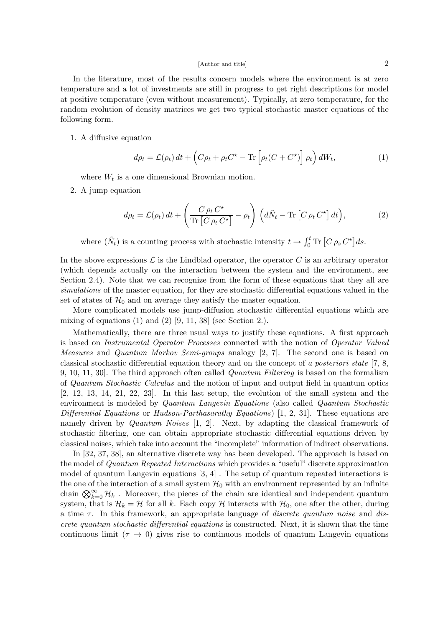In the literature, most of the results concern models where the environment is at zero temperature and a lot of investments are still in progress to get right descriptions for model at positive temperature (even without measurement). Typically, at zero temperature, for the random evolution of density matrices we get two typical stochastic master equations of the following form.

# 1. A diffusive equation

$$
d\rho_t = \mathcal{L}(\rho_t) dt + \left( C\rho_t + \rho_t C^\star - \text{Tr} \left[ \rho_t (C + C^\star) \right] \rho_t \right) dW_t, \tag{1}
$$

where  $W_t$  is a one dimensional Brownian motion.

2. A jump equation

$$
d\rho_t = \mathcal{L}(\rho_t) dt + \left(\frac{C \rho_t C^{\star}}{\text{Tr}\left[C \rho_t C^{\star}\right]} - \rho_t\right) \left(d\tilde{N}_t - \text{Tr}\left[C \rho_t C^{\star}\right] dt\right),\tag{2}
$$

where  $(\tilde{N}_t)$  is a counting process with stochastic intensity  $t \to \int_0^t \text{Tr} [C \rho_s C^*] ds$ .

In the above expressions  $\mathcal L$  is the Lindblad operator, the operator C is an arbitrary operator (which depends actually on the interaction between the system and the environment, see Section 2.4). Note that we can recognize from the form of these equations that they all are simulations of the master equation, for they are stochastic differential equations valued in the set of states of  $\mathcal{H}_0$  and on average they satisfy the master equation.

More complicated models use jump-diffusion stochastic differential equations which are mixing of equations  $(1)$  and  $(2)$   $[9, 11, 38]$  (see Section 2.).

Mathematically, there are three usual ways to justify these equations. A first approach is based on Instrumental Operator Processes connected with the notion of Operator Valued Measures and Quantum Markov Semi-groups analogy [2, 7]. The second one is based on classical stochastic differential equation theory and on the concept of a posteriori state [7, 8, 9, 10, 11, 30. The third approach often called *Quantum Filtering* is based on the formalism of Quantum Stochastic Calculus and the notion of input and output field in quantum optics [2, 12, 13, 14, 21, 22, 23]. In this last setup, the evolution of the small system and the environment is modeled by Quantum Langevin Equations (also called Quantum Stochastic Differential Equations or Hudson-Parthasarathy Equations) [1, 2, 31]. These equations are namely driven by *Quantum Noises* [1, 2]. Next, by adapting the classical framework of stochastic filtering, one can obtain appropriate stochastic differential equations driven by classical noises, which take into account the "incomplete" information of indirect observations.

In [32, 37, 38], an alternative discrete way has been developed. The approach is based on the model of Quantum Repeated Interactions which provides a "useful" discrete approximation model of quantum Langevin equations  $[3, 4]$ . The setup of quantum repeated interactions is the one of the interaction of a small system  $\mathcal{H}_0$  with an environment represented by an infinite chain  $\bigotimes_{k=0}^{\infty} \mathcal{H}_k$ . Moreover, the pieces of the chain are identical and independent quantum system, that is  $\mathcal{H}_k = \mathcal{H}$  for all k. Each copy  $\mathcal{H}$  interacts with  $\mathcal{H}_0$ , one after the other, during a time  $\tau$ . In this framework, an appropriate language of *discrete quantum noise* and *dis*crete quantum stochastic differential equations is constructed. Next, it is shown that the time continuous limit  $(\tau \to 0)$  gives rise to continuous models of quantum Langevin equations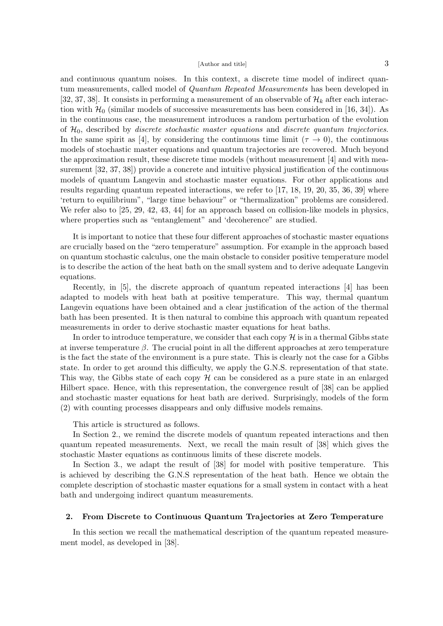and continuous quantum noises. In this context, a discrete time model of indirect quantum measurements, called model of *Quantum Repeated Measurements* has been developed in [32, 37, 38]. It consists in performing a measurement of an observable of  $\mathcal{H}_k$  after each interaction with  $\mathcal{H}_0$  (similar models of successive measurements has been considered in [16, 34]). As in the continuous case, the measurement introduces a random perturbation of the evolution of  $\mathcal{H}_0$ , described by *discrete stochastic master equations* and *discrete quantum trajectories*. In the same spirit as [4], by considering the continuous time limit ( $\tau \to 0$ ), the continuous models of stochastic master equations and quantum trajectories are recovered. Much beyond the approximation result, these discrete time models (without measurement [4] and with measurement [32, 37, 38]) provide a concrete and intuitive physical justification of the continuous models of quantum Langevin and stochastic master equations. For other applications and results regarding quantum repeated interactions, we refer to [17, 18, 19, 20, 35, 36, 39] where 'return to equilibrium", "large time behaviour" or "thermalization" problems are considered. We refer also to  $[25, 29, 42, 43, 44]$  for an approach based on collision-like models in physics, where properties such as "entanglement" and 'decoherence" are studied.

It is important to notice that these four different approaches of stochastic master equations are crucially based on the "zero temperature" assumption. For example in the approach based on quantum stochastic calculus, one the main obstacle to consider positive temperature model is to describe the action of the heat bath on the small system and to derive adequate Langevin equations.

Recently, in [5], the discrete approach of quantum repeated interactions [4] has been adapted to models with heat bath at positive temperature. This way, thermal quantum Langevin equations have been obtained and a clear justification of the action of the thermal bath has been presented. It is then natural to combine this approach with quantum repeated measurements in order to derive stochastic master equations for heat baths.

In order to introduce temperature, we consider that each copy  $\mathcal H$  is in a thermal Gibbs state at inverse temperature  $\beta$ . The crucial point in all the different approaches at zero temperature is the fact the state of the environment is a pure state. This is clearly not the case for a Gibbs state. In order to get around this difficulty, we apply the G.N.S. representation of that state. This way, the Gibbs state of each copy  $\mathcal H$  can be considered as a pure state in an enlarged Hilbert space. Hence, with this representation, the convergence result of [38] can be applied and stochastic master equations for heat bath are derived. Surprisingly, models of the form (2) with counting processes disappears and only diffusive models remains.

This article is structured as follows.

In Section 2., we remind the discrete models of quantum repeated interactions and then quantum repeated measurements. Next, we recall the main result of [38] which gives the stochastic Master equations as continuous limits of these discrete models.

In Section 3., we adapt the result of [38] for model with positive temperature. This is achieved by describing the G.N.S representation of the heat bath. Hence we obtain the complete description of stochastic master equations for a small system in contact with a heat bath and undergoing indirect quantum measurements.

### 2. From Discrete to Continuous Quantum Trajectories at Zero Temperature

In this section we recall the mathematical description of the quantum repeated measurement model, as developed in [38].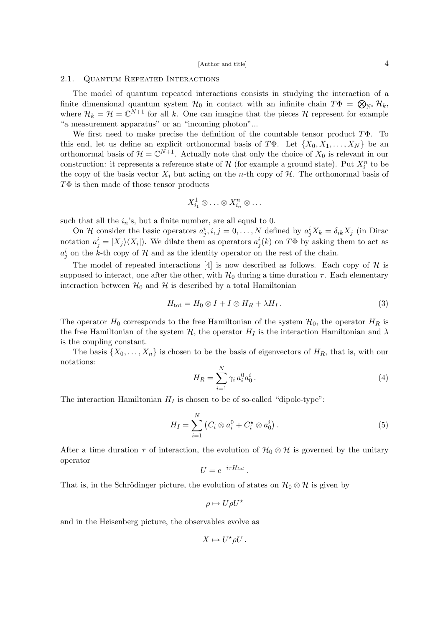# 2.1. Quantum Repeated Interactions

The model of quantum repeated interactions consists in studying the interaction of a finite dimensional quantum system  $\mathcal{H}_0$  in contact with an infinite chain  $T\Phi = \bigotimes_{\mathbb{N}^*} \mathcal{H}_k$ , where  $\mathcal{H}_k = \mathcal{H} = \mathbb{C}^{N+1}$  for all k. One can imagine that the pieces H represent for example "a measurement apparatus" or an "incoming photon"...

We first need to make precise the definition of the countable tensor product  $T\Phi$ . To this end, let us define an explicit orthonormal basis of  $T\Phi$ . Let  $\{X_0, X_1, \ldots, X_N\}$  be an orthonormal basis of  $\mathcal{H} = \mathbb{C}^{N+1}$ . Actually note that only the choice of  $X_0$  is relevant in our construction: it represents a reference state of  $\mathcal H$  (for example a ground state). Put  $X_i^n$  to be the copy of the basis vector  $X_i$  but acting on the n-th copy of  $H$ . The orthonormal basis of  $T\Phi$  is then made of those tensor products

$$
X_{i_1}^1 \otimes \ldots \otimes X_{i_n}^n \otimes \ldots
$$

such that all the  $i_n$ 's, but a finite number, are all equal to 0.

On *H* consider the basic operators  $a_j^i, i, j = 0, ..., N$  defined by  $a_j^i X_k = \delta_{ik} X_j$  (in Dirac notation  $a_j^i = |X_j\rangle\langle X_i|$ . We dilate them as operators  $a_j^i(k)$  on TΦ by asking them to act as  $a_j^i$  on the k-th copy of  $\mathcal H$  and as the identity operator on the rest of the chain.

The model of repeated interactions [4] is now described as follows. Each copy of  $\mathcal{H}$  is supposed to interact, one after the other, with  $\mathcal{H}_0$  during a time duration  $\tau$ . Each elementary interaction between  $\mathcal{H}_0$  and  $\mathcal{H}$  is described by a total Hamiltonian

$$
H_{\rm tot} = H_0 \otimes I + I \otimes H_R + \lambda H_I. \tag{3}
$$

The operator  $H_0$  corresponds to the free Hamiltonian of the system  $\mathcal{H}_0$ , the operator  $H_R$  is the free Hamiltonian of the system  $H$ , the operator  $H_I$  is the interaction Hamiltonian and  $\lambda$ is the coupling constant.

The basis  $\{X_0, \ldots, X_n\}$  is chosen to be the basis of eigenvectors of  $H_R$ , that is, with our notations:

$$
H_R = \sum_{i=1}^{N} \gamma_i a_i^0 a_0^i.
$$
 (4)

The interaction Hamiltonian  $H_I$  is chosen to be of so-called "dipole-type":

$$
H_I = \sum_{i=1}^{N} \left( C_i \otimes a_i^0 + C_i^{\star} \otimes a_0^i \right). \tag{5}
$$

After a time duration  $\tau$  of interaction, the evolution of  $\mathcal{H}_0 \otimes \mathcal{H}$  is governed by the unitary operator

$$
U=e^{-i\tau H_{tot}}.
$$

That is, in the Schrödinger picture, the evolution of states on  $\mathcal{H}_0 \otimes \mathcal{H}$  is given by

$$
\rho\mapsto U\rho U^{\star}
$$

and in the Heisenberg picture, the observables evolve as

$$
X\mapsto U^{\star}\rho U\,.
$$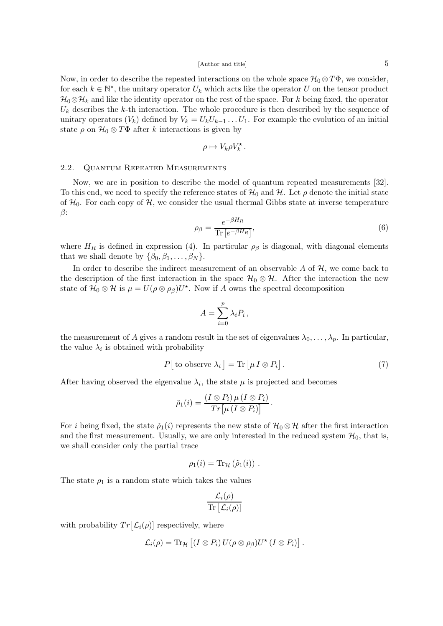Now, in order to describe the repeated interactions on the whole space  $\mathcal{H}_0 \otimes T\Phi$ , we consider, for each  $k \in \mathbb{N}^*$ , the unitary operator  $U_k$  which acts like the operator U on the tensor product  $\mathcal{H}_0\otimes\mathcal{H}_k$  and like the identity operator on the rest of the space. For k being fixed, the operator  $U_k$  describes the k-th interaction. The whole procedure is then described by the sequence of unitary operators  $(V_k)$  defined by  $V_k = U_k U_{k-1} \dots U_1$ . For example the evolution of an initial state  $\rho$  on  $\mathcal{H}_0 \otimes T\Phi$  after k interactions is given by

$$
\rho\mapsto V_k\rho V_k^\star\,.
$$

#### 2.2. Quantum Repeated Measurements

Now, we are in position to describe the model of quantum repeated measurements [32]. To this end, we need to specify the reference states of  $\mathcal{H}_0$  and  $\mathcal{H}$ . Let  $\rho$  denote the initial state of  $\mathcal{H}_0$ . For each copy of  $\mathcal{H}$ , we consider the usual thermal Gibbs state at inverse temperature β:

$$
\rho_{\beta} = \frac{e^{-\beta H_R}}{\text{Tr}\left[e^{-\beta H_R}\right]},\tag{6}
$$

where  $H_R$  is defined in expression (4). In particular  $\rho_\beta$  is diagonal, with diagonal elements that we shall denote by  $\{\beta_0, \beta_1, \ldots, \beta_N\}.$ 

In order to describe the indirect measurement of an observable  $A$  of  $H$ , we come back to the description of the first interaction in the space  $\mathcal{H}_0 \otimes \mathcal{H}$ . After the interaction the new state of  $\mathcal{H}_0 \otimes \mathcal{H}$  is  $\mu = U(\rho \otimes \rho_\beta)U^*$ . Now if A owns the spectral decomposition

$$
A = \sum_{i=0}^{p} \lambda_i P_i \,,
$$

the measurement of A gives a random result in the set of eigenvalues  $\lambda_0, \ldots, \lambda_p$ . In particular, the value  $\lambda_i$  is obtained with probability

$$
P[\text{to observe } \lambda_i] = \text{Tr} \left[ \mu \, I \otimes P_i \right]. \tag{7}
$$

After having observed the eigenvalue  $\lambda_i$ , the state  $\mu$  is projected and becomes

$$
\tilde{\rho}_1(i) = \frac{(I \otimes P_i) \mu (I \otimes P_i)}{Tr[\mu (I \otimes P_i)]}.
$$

For *i* being fixed, the state  $\tilde{\rho}_1(i)$  represents the new state of  $\mathcal{H}_0 \otimes \mathcal{H}$  after the first interaction and the first measurement. Usually, we are only interested in the reduced system  $\mathcal{H}_0$ , that is, we shall consider only the partial trace

$$
\rho_1(i) = \text{Tr}_{\mathcal{H}}\left(\tilde{\rho}_1(i)\right).
$$

The state  $\rho_1$  is a random state which takes the values

$$
\frac{\mathcal{L}_i(\rho)}{\text{Tr}\left[\mathcal{L}_i(\rho)\right]}
$$

with probability  $Tr[\mathcal{L}_i(\rho)]$  respectively, where

$$
\mathcal{L}_i(\rho) = \mathrm{Tr}_{\mathcal{H}} \left[ (I \otimes P_i) U(\rho \otimes \rho_{\beta}) U^{\star} (I \otimes P_i) \right].
$$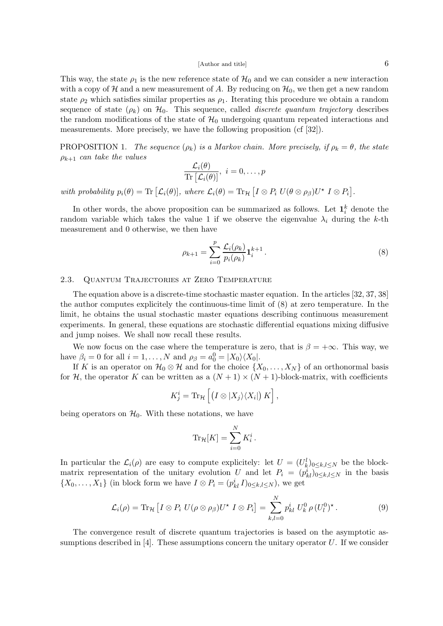This way, the state  $\rho_1$  is the new reference state of  $\mathcal{H}_0$  and we can consider a new interaction with a copy of H and a new measurement of A. By reducing on  $\mathcal{H}_0$ , we then get a new random state  $\rho_2$  which satisfies similar properties as  $\rho_1$ . Iterating this procedure we obtain a random sequence of state  $(\rho_k)$  on  $\mathcal{H}_0$ . This sequence, called *discrete quantum trajectory* describes the random modifications of the state of  $\mathcal{H}_0$  undergoing quantum repeated interactions and measurements. More precisely, we have the following proposition (cf [32]).

PROPOSITION 1. The sequence  $(\rho_k)$  is a Markov chain. More precisely, if  $\rho_k = \theta$ , the state  $\rho_{k+1}$  can take the values

$$
\frac{\mathcal{L}_i(\theta)}{\text{Tr}\left[\mathcal{L}_i(\theta)\right]},\ i=0,\ldots,p
$$

with probability  $p_i(\theta) = \text{Tr} [\mathcal{L}_i(\theta)],$  where  $\mathcal{L}_i(\theta) = \text{Tr}_{\mathcal{H}} [I \otimes P_i U(\theta \otimes \rho_{\beta}) U^{\star} I \otimes P_i].$ 

In other words, the above proposition can be summarized as follows. Let  $\mathbf{1}_i^k$  denote the random variable which takes the value 1 if we observe the eigenvalue  $\lambda_i$  during the k-th measurement and 0 otherwise, we then have

$$
\rho_{k+1} = \sum_{i=0}^{p} \frac{\mathcal{L}_i(\rho_k)}{p_i(\rho_k)} \mathbf{1}_i^{k+1} . \tag{8}
$$

### 2.3. Quantum Trajectories at Zero Temperature

The equation above is a discrete-time stochastic master equation. In the articles [32, 37, 38] the author computes explicitely the continuous-time limit of (8) at zero temperature. In the limit, he obtains the usual stochastic master equations describing continuous measurement experiments. In general, these equations are stochastic differential equations mixing diffusive and jump noises. We shall now recall these results.

We now focus on the case where the temperature is zero, that is  $\beta = +\infty$ . This way, we have  $\beta_i = 0$  for all  $i = 1, ..., N$  and  $\rho_\beta = a_0^0 = |X_0\rangle\langle X_0|$ .

If K is an operator on  $\mathcal{H}_0 \otimes \mathcal{H}$  and for the choice  $\{X_0, \ldots, X_N\}$  of an orthonormal basis for H, the operator K can be written as a  $(N + 1) \times (N + 1)$ -block-matrix, with coefficients

$$
K_j^i = \text{Tr}_{\mathcal{H}}\left[ \left( I \otimes |X_j\rangle\langle X_i| \right) K \right],
$$

being operators on  $\mathcal{H}_0$ . With these notations, we have

$$
\operatorname{Tr}_{\mathcal{H}}[K] = \sum_{i=0}^{N} K_i^i.
$$

In particular the  $\mathcal{L}_i(\rho)$  are easy to compute explicitely: let  $U = (U_k^l)_{0 \leq k,l \leq N}$  be the blockmatrix representation of the unitary evolution U and let  $P_i = (p_{kl}^i)_{0 \le k,l \le N}$  in the basis  $\{X_0, \ldots, X_1\}$  (in block form we have  $I \otimes P_i = (p_{kl}^i I)_{0 \le k, l \le N}$ ), we get

$$
\mathcal{L}_i(\rho) = \text{Tr}_{\mathcal{H}} \left[ I \otimes P_i \ U(\rho \otimes \rho_{\beta}) U^{\star} \ I \otimes P_i \right] = \sum_{k,l=0}^N p_{kl}^i \ U_k^0 \ \rho \ (U_l^0)^{\star} \ . \tag{9}
$$

The convergence result of discrete quantum trajectories is based on the asymptotic assumptions described in  $[4]$ . These assumptions concern the unitary operator U. If we consider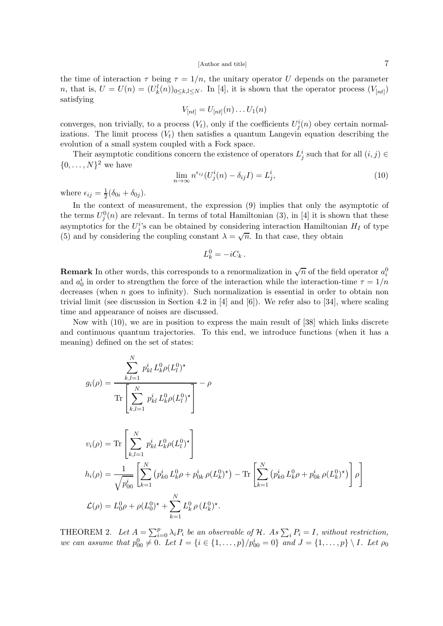the time of interaction  $\tau$  being  $\tau = 1/n$ , the unitary operator U depends on the parameter n, that is,  $U = U(n) = (U_k^l(n))_{0 \le k,l \le N}$ . In [4], it is shown that the operator process  $(V_{[nt]})$ satisfying

$$
V_{[nt]} = U_{[nt]}(n) \dots U_1(n)
$$

converges, non trivially, to a process  $(V_t)$ , only if the coefficients  $U^i_j(n)$  obey certain normalizations. The limit process  $(V_t)$  then satisfies a quantum Langevin equation describing the evolution of a small system coupled with a Fock space.

Their asymptotic conditions concern the existence of operators  $L^i_j$  such that for all  $(i, j) \in$  $\{0, \ldots, N\}^2$  we have

$$
\lim_{n \to \infty} n^{\epsilon_{ij}} (U_j^i(n) - \delta_{ij} I) = L_j^i,
$$
\n(10)

where  $\epsilon_{ij} = \frac{1}{2}$  $\frac{1}{2}(\delta_{0i}+\delta_{0j}).$ 

 $\lambda$ 

In the context of measurement, the expression (9) implies that only the asymptotic of the terms  $U_j^0(n)$  are relevant. In terms of total Hamiltonian (3), in [4] it is shown that these asymptotics for the  $U_j^i$ 's can be obtained by considering interaction Hamiltonian  $H_I$  of type (5) and by considering the coupling constant  $\lambda = \sqrt{n}$ . In that case, they obtain

$$
L_k^0 = -iC_k.
$$

**Remark** In other words, this corresponds to a renormalization in  $\sqrt{n}$  of the field operator  $a_i^0$ and  $a_0^i$  in order to strengthen the force of the interaction while the interaction-time  $\tau = 1/n$ decreases (when  $n$  goes to infinity). Such normalization is essential in order to obtain non trivial limit (see discussion in Section 4.2 in [4] and [6]). We refer also to [34], where scaling time and appearance of noises are discussed.

Now with (10), we are in position to express the main result of [38] which links discrete and continuous quantum trajectories. To this end, we introduce functions (when it has a meaning) defined on the set of states:

$$
g_i(\rho) = \frac{\sum_{k,l=1}^{N} p_{kl}^i L_k^0 \rho(L_l^0)^*}{\text{Tr}\left[\sum_{k,l=1}^{N} p_{kl}^i L_k^0 \rho(L_l^0)^*\right]} - \rho
$$
  

$$
v_i(\rho) = \text{Tr}\left[\sum_{k,l=1}^{N} p_{kl}^i L_k^0 \rho(L_l^0)^*\right]
$$
  

$$
h_i(\rho) = \frac{1}{\sqrt{p_{00}^i}} \left[\sum_{k=1}^{N} (p_{k0}^i L_k^0 \rho + p_{0k}^i \rho(L_k^0)^*) - \text{Tr}\left[\sum_{k=1}^{N} (p_{k0}^i L_k^0 \rho + p_{0k}^i \rho(L_k^0)^*)\right] \rho\right]
$$
  

$$
\mathcal{L}(\rho) = L_0^0 \rho + \rho(L_0^0)^* + \sum_{k=1}^{N} L_k^0 \rho(L_k^0)^*.
$$

THEOREM 2. Let  $A = \sum_{i=0}^{p} \lambda_i P_i$  be an observable of H. As  $\sum_i P_i = I$ , without restriction, we can assume that  $p_{00}^0 \neq 0$ . Let  $I = \{i \in \{1, ..., p\}/p_{00}^i = 0\}$  and  $J = \{1, ..., p\} \setminus I$ . Let  $\rho_0$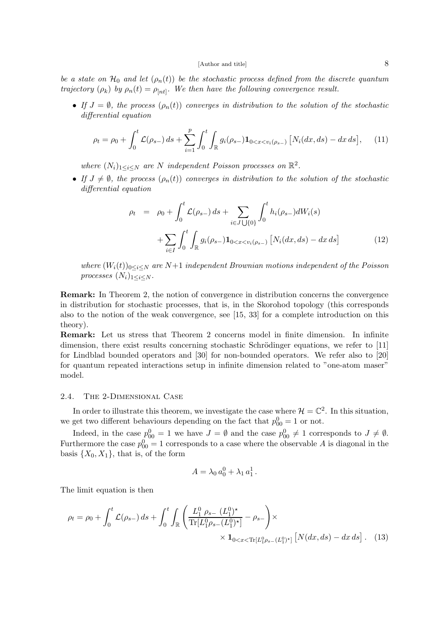be a state on  $\mathcal{H}_0$  and let  $(\rho_n(t))$  be the stochastic process defined from the discrete quantum trajectory  $(\rho_k)$  by  $\rho_n(t) = \rho_{[nt]}$ . We then have the following convergence result.

• If  $J = \emptyset$ , the process  $(\rho_n(t))$  converges in distribution to the solution of the stochastic differential equation

$$
\rho_t = \rho_0 + \int_0^t \mathcal{L}(\rho_{s-}) ds + \sum_{i=1}^p \int_0^t \int_{\mathbb{R}} g_i(\rho_{s-}) \mathbf{1}_{0 < x < v_i(\rho_{s-})} \left[ N_i(dx, ds) - dx \, ds \right], \tag{11}
$$

where  $(N_i)_{1 \leq i \leq N}$  are N independent Poisson processes on  $\mathbb{R}^2$ .

• If  $J \neq \emptyset$ , the process  $(\rho_n(t))$  converges in distribution to the solution of the stochastic differential equation

$$
\rho_t = \rho_0 + \int_0^t \mathcal{L}(\rho_{s-}) ds + \sum_{i \in J \cup \{0\}} \int_0^t h_i(\rho_{s-}) dW_i(s)
$$

$$
+ \sum_{i \in I} \int_0^t \int_{\mathbb{R}} g_i(\rho_{s-}) \mathbf{1}_{0 < x < v_i(\rho_{s-})} \left[ N_i(dx, ds) - dx \, ds \right] \tag{12}
$$

where  $(W_i(t))_{0\leq i\leq N}$  are  $N+1$  independent Brownian motions independent of the Poisson processes  $(N_i)_{1 \leq i \leq N}$ .

Remark: In Theorem 2, the notion of convergence in distribution concerns the convergence in distribution for stochastic processes, that is, in the Skorohod topology (this corresponds also to the notion of the weak convergence, see [15, 33] for a complete introduction on this theory).

Remark: Let us stress that Theorem 2 concerns model in finite dimension. In infinite dimension, there exist results concerning stochastic Schrödinger equations, we refer to [11] for Lindblad bounded operators and [30] for non-bounded operators. We refer also to [20] for quantum repeated interactions setup in infinite dimension related to "one-atom maser" model.

# 2.4. The 2-Dimensional Case

In order to illustrate this theorem, we investigate the case where  $\mathcal{H} = \mathbb{C}^2$ . In this situation, we get two different behaviours depending on the fact that  $p_{00}^0 = 1$  or not.

Indeed, in the case  $p_{00}^0 = 1$  we have  $J = \emptyset$  and the case  $p_{00}^0 \neq 1$  corresponds to  $J \neq \emptyset$ . Furthermore the case  $p_{00}^0 = 1$  corresponds to a case where the observable A is diagonal in the basis  $\{X_0, X_1\}$ , that is, of the form

$$
A = \lambda_0 a_0^0 + \lambda_1 a_1^1.
$$

The limit equation is then

$$
\rho_t = \rho_0 + \int_0^t \mathcal{L}(\rho_{s-}) ds + \int_0^t \int_{\mathbb{R}} \left( \frac{L_1^0 \rho_{s-} (L_1^0)^*}{\text{Tr}[L_1^0 \rho_{s-} (L_1^0)^*]} - \rho_{s-} \right) \times \left( \frac{L_1^0 \rho_{s-} (L_1^0)^*}{\rho_{s-} (L_1^0)^*} \left[ N(dx, ds) - dx \, ds \right] \right). \tag{13}
$$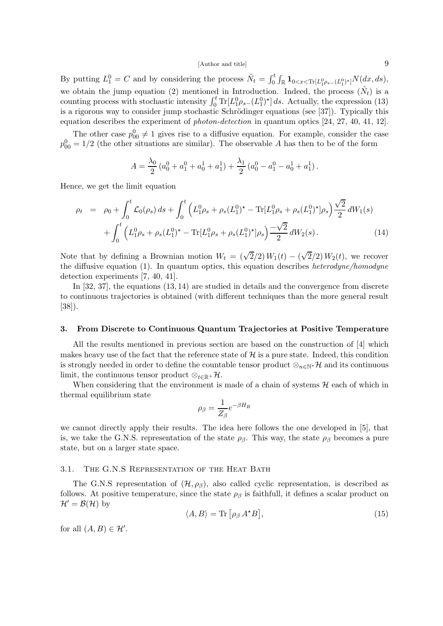By putting  $L_1^0 = C$  and by considering the process  $\tilde{N}_t = \int_0^t \int_{\mathbb{R}} \mathbf{1}_{0 \le x \le \text{Tr}[L_1^0 \rho_{s-}(L_1^0)^*]} N(dx, ds)$ , we obtain the jump equation (2) mentioned in Introduction. Indeed, the process  $(\tilde{N}_t)$  is a counting process with stochastic intensity  $\int_0^t \text{Tr}[L_1^0 \rho_{s-}(L_1^0)^*] ds$ . Actually, the expression (13) is a rigorous way to consider jump stochastic Schrödinger equations (see [37]). Typically this equation describes the experiment of *photon-detection* in quantum optics  $[24, 27, 40, 41, 12]$ .

The other case  $p_{00}^0 \neq 1$  gives rise to a diffusive equation. For example, consider the case  $p_{00}^0 = 1/2$  (the other situations are similar). The observable A has then to be of the form

$$
A = \frac{\lambda_0}{2} (a_0^0 + a_1^0 + a_0^1 + a_1^1) + \frac{\lambda_1}{2} (a_0^0 - a_1^0 - a_0^1 + a_1^1).
$$

Hence, we get the limit equation

$$
\rho_t = \rho_0 + \int_0^t \mathcal{L}_0(\rho_s) ds + \int_0^t \left( L_1^0 \rho_s + \rho_s (L_1^0)^* - \text{Tr}[L_1^0 \rho_s + \rho_s (L_1^0)^*] \rho_s \right) \frac{\sqrt{2}}{2} dW_1(s) + \int_0^t \left( L_1^0 \rho_s + \rho_s (L_1^0)^* - \text{Tr}[L_1^0 \rho_s + \rho_s (L_1^0)^*] \rho_s \right) \frac{-\sqrt{2}}{2} dW_2(s).
$$
(14)

Note that by defining a Brownian motion  $W_t = (\sqrt{2}/2) W_1(t) - (\sqrt{2}/2) W_2(t)$ , we recover the diffusive equation (1). In quantum optics, this equation describes heterodyne/homodyne detection experiments [7, 40, 41].

In [32, 37], the equations (13, 14) are studied in details and the convergence from discrete to continuous trajectories is obtained (with different techniques than the more general result [38]).

#### 3. From Discrete to Continuous Quantum Trajectories at Positive Temperature

All the results mentioned in previous section are based on the construction of [4] which makes heavy use of the fact that the reference state of  $\mathcal H$  is a pure state. Indeed, this condition is strongly needed in order to define the countable tensor product  $\otimes_{n\in\mathbb{N}^*}\mathcal{H}$  and its continuous limit, the continuous tensor product  $\otimes_{t\in\mathbb{R}^+}\mathcal{H}$ .

When considering that the environment is made of a chain of systems  $H$  each of which in thermal equilibrium state

$$
\rho_{\beta} = \frac{1}{Z_{\beta}} e^{-\beta H_R}
$$

we cannot directly apply their results. The idea here follows the one developed in [5], that is, we take the G.N.S. representation of the state  $\rho_{\beta}$ . This way, the state  $\rho_{\beta}$  becomes a pure state, but on a larger state space.

#### 3.1. THE G.N.S REPRESENTATION OF THE HEAT BATH

The G.N.S representation of  $(\mathcal{H}, \rho_{\beta})$ , also called cyclic representation, is described as follows. At positive temperature, since the state  $\rho_{\beta}$  is faithfull, it defines a scalar product on  $\mathcal{H}' = \mathcal{B}(\mathcal{H})$  by

$$
\langle A, B \rangle = \text{Tr} \left[ \rho_{\beta} A^{\star} B \right], \tag{15}
$$

for all  $(A, B) \in \mathcal{H}'$ .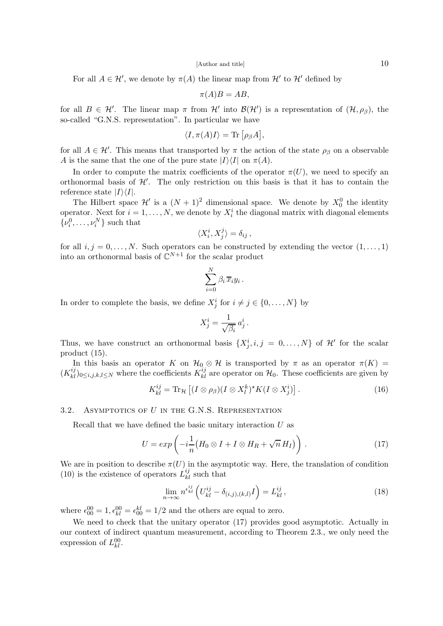For all  $A \in \mathcal{H}'$ , we denote by  $\pi(A)$  the linear map from  $\mathcal{H}'$  to  $\mathcal{H}'$  defined by

$$
\pi(A)B=AB,
$$

for all  $B \in \mathcal{H}'$ . The linear map  $\pi$  from  $\mathcal{H}'$  into  $\mathcal{B}(\mathcal{H}')$  is a representation of  $(\mathcal{H}, \rho_{\beta})$ , the so-called "G.N.S. representation". In particular we have

$$
\langle I, \pi(A)I \rangle = \text{Tr} \left[ \rho_{\beta} A \right],
$$

for all  $A \in \mathcal{H}'$ . This means that transported by  $\pi$  the action of the state  $\rho_{\beta}$  on a observable A is the same that the one of the pure state  $|I\rangle\langle I|$  on  $\pi(A)$ .

In order to compute the matrix coefficients of the operator  $\pi(U)$ , we need to specify an orthonormal basis of  $\mathcal{H}'$ . The only restriction on this basis is that it has to contain the reference state  $|I\rangle\langle I|$ .

The Hilbert space  $\mathcal{H}'$  is a  $(N + 1)^2$  dimensional space. We denote by  $X_0^0$  the identity operator. Next for  $i = 1, ..., N$ , we denote by  $X_i^i$  the diagonal matrix with diagonal elements  $\{\nu_i^0, \ldots, \nu_i^N\}$  such that

$$
\langle X_i^i, X_j^j \rangle = \delta_{ij} \,,
$$

for all  $i, j = 0, \ldots, N$ . Such operators can be constructed by extending the vector  $(1, \ldots, 1)$ into an orthonormal basis of  $\mathbb{C}^{N+1}$  for the scalar product

$$
\sum_{i=0}^N \beta_i \, \overline{x}_i y_i
$$

.

In order to complete the basis, we define  $X_j^i$  for  $i \neq j \in \{0, ..., N\}$  by

$$
X_j^i = \frac{1}{\sqrt{\beta_i}} a_j^i.
$$

Thus, we have construct an orthonormal basis  $\{X_j^i, i, j = 0, ..., N\}$  of  $\mathcal{H}'$  for the scalar product (15).

In this basis an operator K on  $\mathcal{H}_0 \otimes \mathcal{H}$  is transported by  $\pi$  as an operator  $\pi(K) =$  $(K_{kl}^{ij})_{0\leq i,j,k,l\leq N}$  where the coefficients  $K_{kl}^{ij}$  are operator on  $\mathcal{H}_0$ . These coefficients are given by

$$
K_{kl}^{ij} = \text{Tr}_{\mathcal{H}} \left[ (I \otimes \rho_{\beta})(I \otimes X_l^k)^{\star} K (I \otimes X_j^i) \right]. \tag{16}
$$

# 3.2. ASYMPTOTICS OF  $U$  in the G.N.S. REPRESENTATION

Recall that we have defined the basic unitary interaction  $U$  as

$$
U = exp\left(-i\frac{1}{n}(H_0 \otimes I + I \otimes H_R + \sqrt{n} H_I)\right). \tag{17}
$$

We are in position to describe  $\pi(U)$  in the asymptotic way. Here, the translation of condition (10) is the existence of operators  $\hat{L}_{kl}^{ij}$  such that

$$
\lim_{n \to \infty} n^{\epsilon_{kl}^{ij}} \left( U_{kl}^{ij} - \delta_{(i,j),(k,l)} I \right) = L_{kl}^{ij}, \tag{18}
$$

where  $\epsilon_{00}^{00} = 1, \epsilon_{kl}^{00} = \epsilon_{00}^{kl} = 1/2$  and the others are equal to zero.

We need to check that the unitary operator (17) provides good asymptotic. Actually in our context of indirect quantum measurement, according to Theorem 2.3., we only need the expression of  $L_{kl}^{00}$ .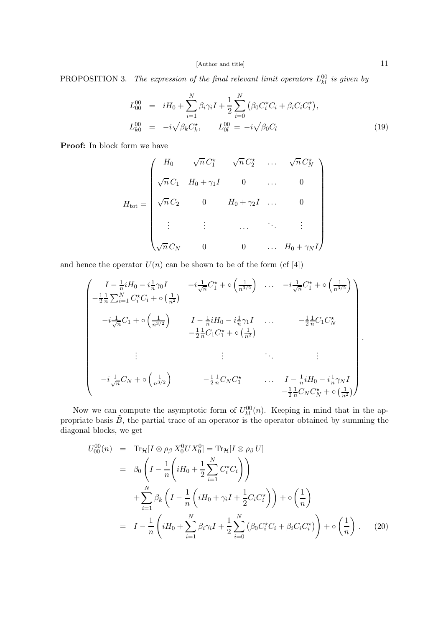PROPOSITION 3. The expression of the final relevant limit operators  $L_{kl}^{00}$  is given by

$$
L_{00}^{00} = iH_0 + \sum_{i=1}^{N} \beta_i \gamma_i I + \frac{1}{2} \sum_{i=0}^{N} (\beta_0 C_i^* C_i + \beta_i C_i C_i^*),
$$
  
\n
$$
L_{k0}^{00} = -i\sqrt{\beta_k} C_k^*, \qquad L_{0l}^{00} = -i\sqrt{\beta_0} C_l
$$
\n(19)

Proof: In block form we have

$$
H_{\text{tot}} = \begin{pmatrix} H_0 & \sqrt{n} C_1^{\star} & \sqrt{n} C_2^{\star} & \dots & \sqrt{n} C_N^{\star} \\ \sqrt{n} C_1 & H_0 + \gamma_1 I & 0 & \dots & 0 \\ \sqrt{n} C_2 & 0 & H_0 + \gamma_2 I & \dots & 0 \\ \vdots & \vdots & \dots & \ddots & \vdots \\ \sqrt{n} C_N & 0 & 0 & \dots & H_0 + \gamma_N I \end{pmatrix}
$$

and hence the operator  $U(n)$  can be shown to be of the form (cf [4])

$$
\begin{pmatrix}\nI - \frac{1}{n}iH_0 - i\frac{1}{n}\gamma_0 I & -i\frac{1}{\sqrt{n}}C_1^{\star} + \circ\left(\frac{1}{n^{3/2}}\right) & \dots & -i\frac{1}{\sqrt{n}}C_1^{\star} + \circ\left(\frac{1}{n^{3/2}}\right) \\
-\frac{1}{2}\frac{1}{n}\sum_{i=1}^{N}C_i^{\star}C_i + \circ\left(\frac{1}{n^2}\right) & I - \frac{1}{n}iH_0 - i\frac{1}{n}\gamma_1 I & \dots & -\frac{1}{2}\frac{1}{n}C_1C_N^{\star} \\
-\frac{1}{2}\frac{1}{n}C_1 + \circ\left(\frac{1}{n^{3/2}}\right) & I - \frac{1}{n}iH_0 - i\frac{1}{n}\gamma_1 I & \dots & -\frac{1}{2}\frac{1}{n}C_1C_N^{\star} \\
-\frac{1}{2}\frac{1}{n}C_1C_1^{\star} + \circ\left(\frac{1}{n^2}\right) & \dots & \vdots \\
\vdots & \vdots & \ddots & \vdots \\
-\frac{1}{\sqrt{n}}C_N + \circ\left(\frac{1}{n^{3/2}}\right) & -\frac{1}{2}\frac{1}{n}C_NC_1^{\star} & \dots & I - \frac{1}{n}iH_0 - i\frac{1}{n}\gamma_N I \\
-\frac{1}{2}\frac{1}{n}C_NC_N^{\star} + \circ\left(\frac{1}{n^2}\right)\n\end{pmatrix}
$$

Now we can compute the asymptotic form of  $U_{kl}^{00}(n)$ . Keeping in mind that in the appropriate basis  $\tilde{B}$ , the partial trace of an operator is the operator obtained by summing the diagonal blocks, we get

$$
U_{00}^{00}(n) = \text{Tr}_{\mathcal{H}}[I \otimes \rho_{\beta} X_{0}^{0} U X_{0}^{0}] = \text{Tr}_{\mathcal{H}}[I \otimes \rho_{\beta} U]
$$
  
\n
$$
= \beta_{0} \left( I - \frac{1}{n} \left( i H_{0} + \frac{1}{2} \sum_{i=1}^{N} C_{i}^{*} C_{i} \right) \right)
$$
  
\n
$$
+ \sum_{i=1}^{N} \beta_{k} \left( I - \frac{1}{n} \left( i H_{0} + \gamma_{i} I + \frac{1}{2} C_{i} C_{i}^{*} \right) \right) + \circ \left( \frac{1}{n} \right)
$$
  
\n
$$
= I - \frac{1}{n} \left( i H_{0} + \sum_{i=1}^{N} \beta_{i} \gamma_{i} I + \frac{1}{2} \sum_{i=0}^{N} \left( \beta_{0} C_{i}^{*} C_{i} + \beta_{i} C_{i} C_{i}^{*} \right) \right) + \circ \left( \frac{1}{n} \right). \tag{20}
$$

.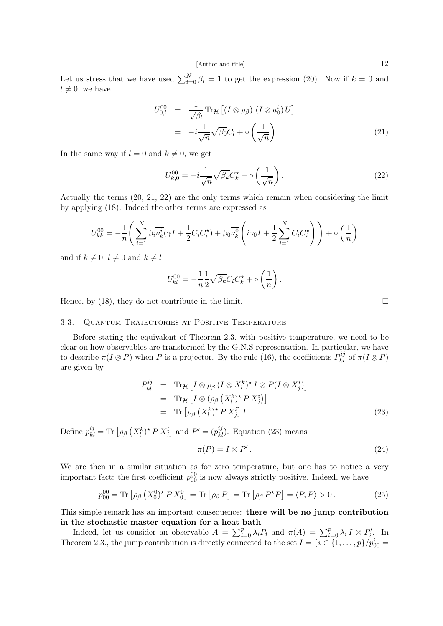Let us stress that we have used  $\sum_{i=0}^{N} \beta_i = 1$  to get the expression (20). Now if  $k = 0$  and  $l \neq 0$ , we have

$$
U_{0,l}^{00} = \frac{1}{\sqrt{\beta_l}} \text{Tr}_{\mathcal{H}} \left[ (I \otimes \rho_\beta) \ (I \otimes a_0^l) \ U \right]
$$

$$
= -i \frac{1}{\sqrt{n}} \sqrt{\beta_0} C_l + \circ \left( \frac{1}{\sqrt{n}} \right). \tag{21}
$$

In the same way if  $l = 0$  and  $k \neq 0$ , we get

$$
U_{k,0}^{00} = -i\frac{1}{\sqrt{n}}\sqrt{\beta_k}C_k^* + \circ\left(\frac{1}{\sqrt{n}}\right). \tag{22}
$$

Actually the terms (20, 21, 22) are the only terms which remain when considering the limit by applying (18). Indeed the other terms are expressed as

$$
U_{kk}^{00} = -\frac{1}{n} \left( \sum_{i=1}^{N} \beta_i \overline{\nu_k^i} (\gamma I + \frac{1}{2} C_i C_i^{\star}) + \beta_0 \overline{\nu_k^0} \left( i \gamma_0 I + \frac{1}{2} \sum_{i=1}^{N} C_i C_i^{\star} \right) \right) + \circ \left( \frac{1}{n} \right)
$$

and if  $k \neq 0, l \neq 0$  and  $k \neq l$ 

$$
U_{kl}^{00} = -\frac{1}{n} \frac{1}{2} \sqrt{\beta_k} C_l C_k^{\star} + \circ \left(\frac{1}{n}\right).
$$

Hence, by (18), they do not contribute in the limit.  $\square$ 

# 3.3. Quantum Trajectories at Positive Temperature

Before stating the equivalent of Theorem 2.3. with positive temperature, we need to be clear on how observables are transformed by the G.N.S representation. In particular, we have to describe  $\pi(I \otimes P)$  when P is a projector. By the rule (16), the coefficients  $P_{kl}^{ij}$  of  $\pi(I \otimes P)$ are given by

$$
P_{kl}^{ij} = \text{Tr}_{\mathcal{H}} \left[ I \otimes \rho_{\beta} \left( I \otimes X_{l}^{k} \right)^{\star} I \otimes P(I \otimes X_{j}^{i}) \right]
$$
  
\n
$$
= \text{Tr}_{\mathcal{H}} \left[ I \otimes \left( \rho_{\beta} \left( X_{l}^{k} \right)^{\star} P X_{j}^{i} \right) \right]
$$
  
\n
$$
= \text{Tr} \left[ \rho_{\beta} \left( X_{l}^{k} \right)^{\star} P X_{j}^{i} \right] I . \tag{23}
$$

Define  $p_{kl}^{ij} = \text{Tr} \left[ \rho_\beta \left( X_l^k \right)^\star P X_j^i \right]$  and  $P' = (p_{kl}^{ij})$ . Equation (23) means

$$
\pi(P) = I \otimes P'.\tag{24}
$$

We are then in a similar situation as for zero temperature, but one has to notice a very important fact: the first coefficient  $p_{00}^{00}$  is now always strictly positive. Indeed, we have

$$
p_{00}^{00} = \text{Tr} \left[ \rho_{\beta} \left( X_0^0 \right)^* P \, X_0^0 \right] = \text{Tr} \left[ \rho_{\beta} \, P \right] = \text{Tr} \left[ \rho_{\beta} \, P^* P \right] = \langle P, P \rangle > 0. \tag{25}
$$

This simple remark has an important consequence: there will be no jump contribution in the stochastic master equation for a heat bath.

Indeed, let us consider an observable  $A = \sum_{i=0}^{p} \lambda_i P_i$  and  $\pi(A) = \sum_{i=0}^{p} \lambda_i I \otimes P'_i$ . In Theorem 2.3., the jump contribution is directly connected to the set  $I = \{i \in \{1, \ldots, p\}/p_{00}^i =$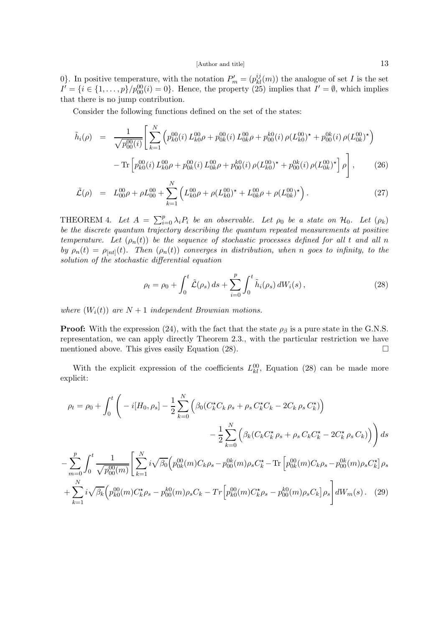0}. In positive temperature, with the notation  $P'_m = (p_{kl}^{ij}(m))$  the analogue of set I is the set  $I' = \{i \in \{1, \ldots, p\}/p_{00}^{00}(i) = 0\}$ . Hence, the property (25) implies that  $I' = \emptyset$ , which implies that there is no jump contribution.

Consider the following functions defined on the set of the states:

$$
\tilde{h}_i(\rho) = \frac{1}{\sqrt{p_{00}^{00}(i)}} \Bigg[ \sum_{k=1}^N \left( p_{k0}^{00}(i) L_{k0}^{00} \rho + p_{0k}^{00}(i) L_{0k}^{00} \rho + p_{00}^{k0}(i) \rho (L_{k0}^{00})^* + p_{00}^{0k}(i) \rho (L_{0k}^{00})^* \right) - \text{Tr} \left[ p_{k0}^{00}(i) L_{k0}^{00} \rho + p_{0k}^{00}(i) L_{0k}^{00} \rho + p_{00}^{k0}(i) \rho (L_{k0}^{00})^* + p_{00}^{0k}(i) \rho (L_{0k}^{00})^* \right] \rho \Bigg], \tag{26}
$$

$$
\tilde{\mathcal{L}}(\rho) = L_{00}^{00} \rho + \rho L_{00}^{00} + \sum_{k=1}^{N} \left( L_{k0}^{00} \rho + \rho (L_{k0}^{00})^{\star} + L_{0k}^{00} \rho + \rho (L_{0k}^{00})^{\star} \right). \tag{27}
$$

THEOREM 4. Let  $A = \sum_{i=0}^{p} \lambda_i P_i$  be an observable. Let  $\rho_0$  be a state on  $\mathcal{H}_0$ . Let  $(\rho_k)$ be the discrete quantum trajectory describing the quantum repeated measurements at positive temperature. Let  $(\rho_n(t))$  be the sequence of stochastic processes defined for all t and all n by  $\rho_n(t) = \rho_{[nt]}(t)$ . Then  $(\rho_n(t))$  converges in distribution, when n goes to infinity, to the solution of the stochastic differential equation

$$
\rho_t = \rho_0 + \int_0^t \tilde{\mathcal{L}}(\rho_s) \, ds + \sum_{i=0}^p \int_0^t \tilde{h}_i(\rho_s) \, dW_i(s) \,, \tag{28}
$$

where  $(W_i(t))$  are  $N+1$  independent Brownian motions.

**Proof:** With the expression (24), with the fact that the state  $\rho_{\beta}$  is a pure state in the G.N.S. representation, we can apply directly Theorem 2.3., with the particular restriction we have mentioned above. This gives easily Equation (28).  $\Box$ 

With the explicit expression of the coefficients  $L_{kl}^{00}$ , Equation (28) can be made more explicit:

$$
\rho_t = \rho_0 + \int_0^t \left( -i[H_0, \rho_s] - \frac{1}{2} \sum_{k=0}^N \left( \beta_0 (C_k^{\star} C_k \rho_s + \rho_s C_k^{\star} C_k - 2C_k \rho_s C_k^{\star}) \right) - \frac{1}{2} \sum_{k=0}^N \left( \beta_k (C_k C_k^{\star} \rho_s + \rho_s C_k C_k^{\star} - 2C_k^{\star} \rho_s C_k) \right) \right) ds - \sum_{m=0}^p \int_0^t \frac{1}{\sqrt{p_{00}^{0}(m)}} \left[ \sum_{k=1}^N i \sqrt{\beta_0} \left( p_{0k}^{00}(m) C_k \rho_s - p_{00}^{0k}(m) \rho_s C_k^{\star} - \text{Tr} \left[ p_{0k}^{00}(m) C_k \rho_s - p_{00}^{0k}(m) \rho_s C_k^{\star} \right] \rho_s \right. \\ \left. + \sum_{k=1}^N i \sqrt{\beta_k} \left( p_{k0}^{00}(m) C_k^{\star} \rho_s - p_{00}^{k0}(m) \rho_s C_k - \text{Tr} \left[ p_{k0}^{00}(m) C_k^{\star} \rho_s - p_{00}^{k0}(m) \rho_s C_k \right] \rho_s \right] dW_m(s) \,. \tag{29}
$$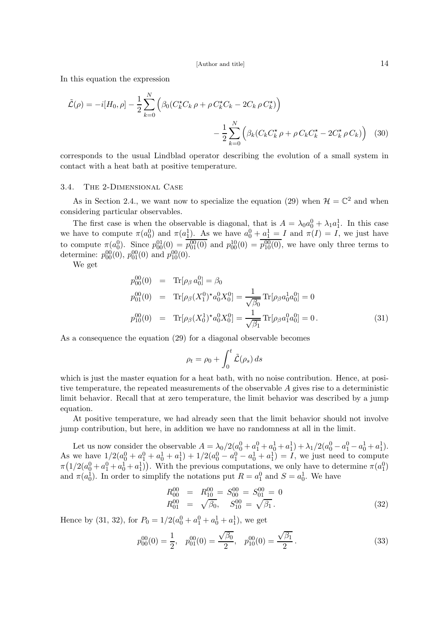In this equation the expression

$$
\tilde{\mathcal{L}}(\rho) = -i[H_0, \rho] - \frac{1}{2} \sum_{k=0}^{N} \left( \beta_0 (C_k^* C_k \rho + \rho C_k^* C_k - 2C_k \rho C_k^*) \right) - \frac{1}{2} \sum_{k=0}^{N} \left( \beta_k (C_k C_k^* \rho + \rho C_k C_k^* - 2C_k^* \rho C_k) \right)
$$
(30)

corresponds to the usual Lindblad operator describing the evolution of a small system in contact with a heat bath at positive temperature.

#### 3.4. The 2-Dimensional Case

As in Section 2.4., we want now to specialize the equation (29) when  $\mathcal{H} = \mathbb{C}^2$  and when considering particular observables.

The first case is when the observable is diagonal, that is  $A = \lambda_0 a_0^0 + \lambda_1 a_1^1$ . In this case we have to compute  $\pi(a_0^0)$  and  $\pi(a_1^1)$ . As we have  $a_0^0 + a_1^1 = I$  and  $\pi(I) = I$ , we just have to compute  $\pi(a_0^0)$ . Since  $p_{00}^{01}(0) = p_{01}^{00}(0)$  and  $p_{00}^{10}(0) = p_{10}^{00}(0)$ , we have only three terms to determine:  $p_{00}^{00}(0)$ ,  $p_{01}^{00}(0)$  and  $p_{10}^{00}(0)$ .

We get

$$
p_{00}^{00}(0) = \text{Tr}[\rho_{\beta} a_0^0] = \beta_0
$$
  
\n
$$
p_{01}^{00}(0) = \text{Tr}[\rho_{\beta} (X_1^0)^{\star} a_0^0 X_0^0] = \frac{1}{\sqrt{\beta_0}} \text{Tr}[\rho_{\beta} a_0^1 a_0^0] = 0
$$
  
\n
$$
p_{10}^{00}(0) = \text{Tr}[\rho_{\beta} (X_0^1)^{\star} a_0^0 X_0^0] = \frac{1}{\sqrt{\beta_1}} \text{Tr}[\rho_{\beta} a_1^0 a_0^0] = 0.
$$
\n(31)

As a consequence the equation (29) for a diagonal observable becomes

$$
\rho_t = \rho_0 + \int_0^t \tilde{\mathcal{L}}(\rho_s) \, ds
$$

which is just the master equation for a heat bath, with no noise contribution. Hence, at positive temperature, the repeated measurements of the observable A gives rise to a deterministic limit behavior. Recall that at zero temperature, the limit behavior was described by a jump equation.

At positive temperature, we had already seen that the limit behavior should not involve jump contribution, but here, in addition we have no randomness at all in the limit.

Let us now consider the observable  $A = \lambda_0/2(a_0^0 + a_1^0 + a_0^1 + a_1^1) + \lambda_1/2(a_0^0 - a_1^0 - a_0^1 + a_1^1)$ . As we have  $1/2(a_0^0 + a_1^0 + a_0^1 + a_1^1) + 1/2(a_0^0 - a_1^0 - a_0^1 + a_1^1) = I$ , we just need to compute  $\pi(1/2(a_0^0 + a_1^0 + a_0^1 + a_1^1))$ . With the previous computations, we only have to determine  $\pi(a_1^0)$ and  $\pi(a_0^1)$ . In order to simplify the notations put  $R = a_1^0$  and  $S = a_0^1$ . We have

$$
R_{00}^{00} = R_{10}^{00} = S_{00}^{00} = S_{01}^{00} = 0
$$
  
\n
$$
R_{01}^{00} = \sqrt{\beta_0}, \quad S_{10}^{00} = \sqrt{\beta_1}.
$$
\n(32)

Hence by (31, 32), for  $P_0 = 1/2(a_0^0 + a_1^0 + a_0^1 + a_1^1)$ , we get

$$
p_{00}^{00}(0) = \frac{1}{2}, \quad p_{01}^{00}(0) = \frac{\sqrt{\beta_0}}{2}, \quad p_{10}^{00}(0) = \frac{\sqrt{\beta_1}}{2}.
$$
 (33)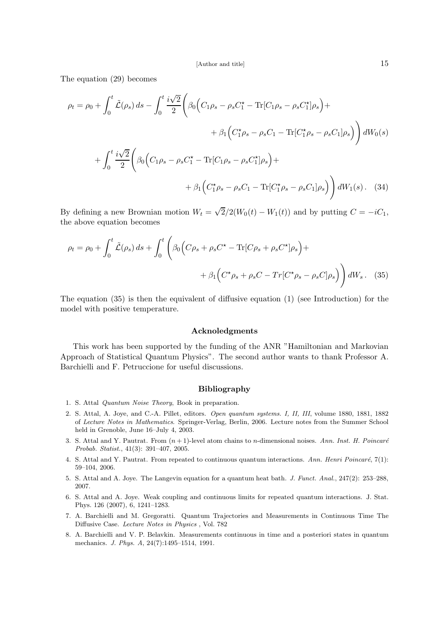The equation (29) becomes

$$
\rho_t = \rho_0 + \int_0^t \tilde{\mathcal{L}}(\rho_s) ds - \int_0^t \frac{i\sqrt{2}}{2} \left( \beta_0 \Big( C_1 \rho_s - \rho_s C_1^{\star} - \text{Tr}[C_1 \rho_s - \rho_s C_1^{\star}] \rho_s \Big) + \\ + \beta_1 \Big( C_1^{\star} \rho_s - \rho_s C_1 - \text{Tr}[C_1^{\star} \rho_s - \rho_s C_1] \rho_s \Big) \right) dW_0(s) + \int_0^t \frac{i\sqrt{2}}{2} \Big( \beta_0 \Big( C_1 \rho_s - \rho_s C_1^{\star} - \text{Tr}[C_1 \rho_s - \rho_s C_1^{\star}] \rho_s \Big) + \\ + \beta_1 \Big( C_1^{\star} \rho_s - \rho_s C_1 - \text{Tr}[C_1^{\star} \rho_s - \rho_s C_1] \rho_s \Big) \Big) dW_1(s) . \quad (34)
$$

By defining a new Brownian motion  $W_t = \sqrt{2}/2(W_0(t) - W_1(t))$  and by putting  $C = -iC_1$ , the above equation becomes

$$
\rho_t = \rho_0 + \int_0^t \tilde{\mathcal{L}}(\rho_s) ds + \int_0^t \left( \beta_0 \Big( C\rho_s + \rho_s C^\star - \text{Tr}[C\rho_s + \rho_s C^\star] \rho_s \Big) + \beta_1 \Big( C^\star \rho_s + \rho_s C - \text{Tr}[C^\star \rho_s - \rho_s C] \rho_s \Big) \right) dW_s. \tag{35}
$$

The equation (35) is then the equivalent of diffusive equation (1) (see Introduction) for the model with positive temperature.

# Acknoledgments

This work has been supported by the funding of the ANR "Hamiltonian and Markovian Approach of Statistical Quantum Physics". The second author wants to thank Professor A. Barchielli and F. Petruccione for useful discussions.

#### Bibliography

- 1. S. Attal *Quantum Noise Theory*, Book in preparation.
- 2. S. Attal, A. Joye, and C.-A. Pillet, editors. *Open quantum systems. I, II, III*, volume 1880, 1881, 1882 of *Lecture Notes in Mathematics*. Springer-Verlag, Berlin, 2006. Lecture notes from the Summer School held in Grenoble, June 16–July 4, 2003.
- 3. S. Attal and Y. Pautrat. From  $(n + 1)$ -level atom chains to *n*-dimensional noises. *Ann. Inst. H. Poincaré Probab. Statist.*, 41(3): 391–407, 2005.
- 4. S. Attal and Y. Pautrat. From repeated to continuous quantum interactions. *Ann. Henri Poincaré*, 7(1): 59–104, 2006.
- 5. S. Attal and A. Joye. The Langevin equation for a quantum heat bath. *J. Funct. Anal.*, 247(2): 253–288, 2007.
- 6. S. Attal and A. Joye. Weak coupling and continuous limits for repeated quantum interactions. J. Stat. Phys. 126 (2007), 6, 1241–1283.
- 7. A. Barchielli and M. Gregoratti. Quantum Trajectories and Measurements in Continuous Time The Diffusive Case. *Lecture Notes in Physics* , Vol. 782
- 8. A. Barchielli and V. P. Belavkin. Measurements continuous in time and a posteriori states in quantum mechanics. *J. Phys. A*, 24(7):1495–1514, 1991.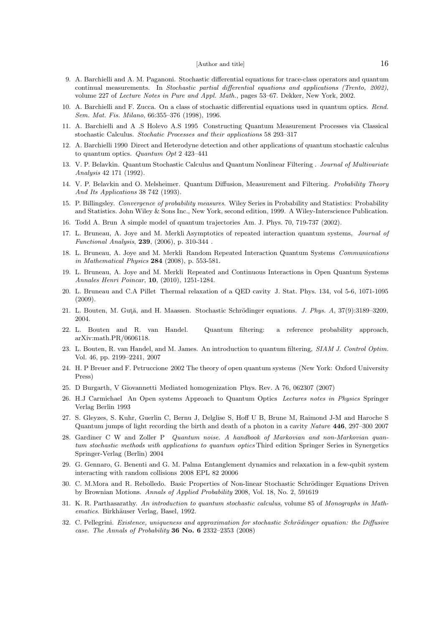- 9. A. Barchielli and A. M. Paganoni. Stochastic differential equations for trace-class operators and quantum continual measurements. In *Stochastic partial differential equations and applications (Trento, 2002)*, volume 227 of *Lecture Notes in Pure and Appl. Math.*, pages 53–67. Dekker, New York, 2002.
- 10. A. Barchielli and F. Zucca. On a class of stochastic differential equations used in quantum optics. *Rend. Sem. Mat. Fis. Milano*, 66:355–376 (1998), 1996.
- 11. A. Barchielli and A .S Holevo A.S 1995 Constructing Quantum Measurement Processes via Classical stochastic Calculus. *Stochatic Processes and their applications* 58 293–317
- 12. A. Barchielli 1990 Direct and Heterodyne detection and other applications of quantum stochastic calculus to quantum optics. *Quantum Opt* 2 423–441
- 13. V. P. Belavkin. Quantum Stochastic Calculus and Quantum Nonlinear Filtering . *Journal of Multivariate Analysis* 42 171 (1992).
- 14. V. P. Belavkin and O. Melsheimer. Quantum Diffusion, Measurement and Filtering. *Probability Theory And Its Applications* 38 742 (1993).
- 15. P. Billingsley. *Convergence of probability measures*. Wiley Series in Probability and Statistics: Probability and Statistics. John Wiley & Sons Inc., New York, second edition, 1999. A Wiley-Interscience Publication.
- 16. Todd A. Brun A simple model of quantum trajectories Am. J. Phys. 70, 719-737 (2002).
- 17. L. Bruneau, A. Joye and M. Merkli Asymptotics of repeated interaction quantum systems, *Journal of Functional Analysis*, 239, (2006), p. 310-344 .
- 18. L. Bruneau, A. Joye and M. Merkli Random Repeated Interaction Quantum Systems *Communications in Mathematical Physics* 284 (2008), p. 553-581.
- 19. L. Bruneau, A. Joye and M. Merkli Repeated and Continuous Interactions in Open Quantum Systems *Annales Henri Poincar*, 10, (2010), 1251-1284.
- 20. L. Bruneau and C.A Pillet Thermal relaxation of a QED cavity J. Stat. Phys. 134, vol 5-6, 1071-1095 (2009).
- 21. L. Bouten, M. Guta, and H. Maassen. Stochastic Schrödinger equations. *J. Phys. A*, 37(9):3189–3209, 2004.
- 22. L. Bouten and R. van Handel. Quantum filtering: a reference probability approach, arXiv:math.PR/0606118.
- 23. L. Bouten, R. van Handel, and M. James. An introduction to quantum filtering, *SIAM J. Control Optim.* Vol. 46, pp. 2199–2241, 2007
- 24. H. P Breuer and F. Petruccione 2002 The theory of open quantum systems (New York: Oxford University Press)
- 25. D Burgarth, V Giovannetti Mediated homogenization Phys. Rev. A 76, 062307 (2007)
- 26. H.J Carmichael An Open systems Approach to Quantum Optics *Lectures notes in Physics* Springer Verlag Berlin 1993
- 27. S. Gleyzes, S. Kuhr, Guerlin C, Bernu J, Delglise S, Hoff U B, Brune M, Raimond J-M and Haroche S Quantum jumps of light recording the birth and death of a photon in a cavity *Nature* 446, 297–300 2007
- 28. Gardiner C W and Zoller P *Quantum noise. A handbook of Markovian and non-Markovian quantum stochastic methods with applications to quantum optics* Third edition Springer Series in Synergetics Springer-Verlag (Berlin) 2004
- 29. G. Gennaro, G. Benenti and G. M. Palma Entanglement dynamics and relaxation in a few-qubit system interacting with random collisions 2008 EPL 82 20006
- 30. C. M.Mora and R. Rebolledo. Basic Properties of Non-linear Stochastic Schrödinger Equations Driven by Brownian Motions. *Annals of Applied Probability* 2008, Vol. 18, No. 2, 591619
- 31. K. R. Parthasarathy. *An introduction to quantum stochastic calculus*, volume 85 of *Monographs in Mathematics*. Birkhäuser Verlag, Basel, 1992.
- 32. C. Pellegrini. *Existence, uniqueness and approximation for stochastic Schrödinger equation: the Diffusive case*. *The Annals of Probability* 36 No. 6 2332–2353 (2008)